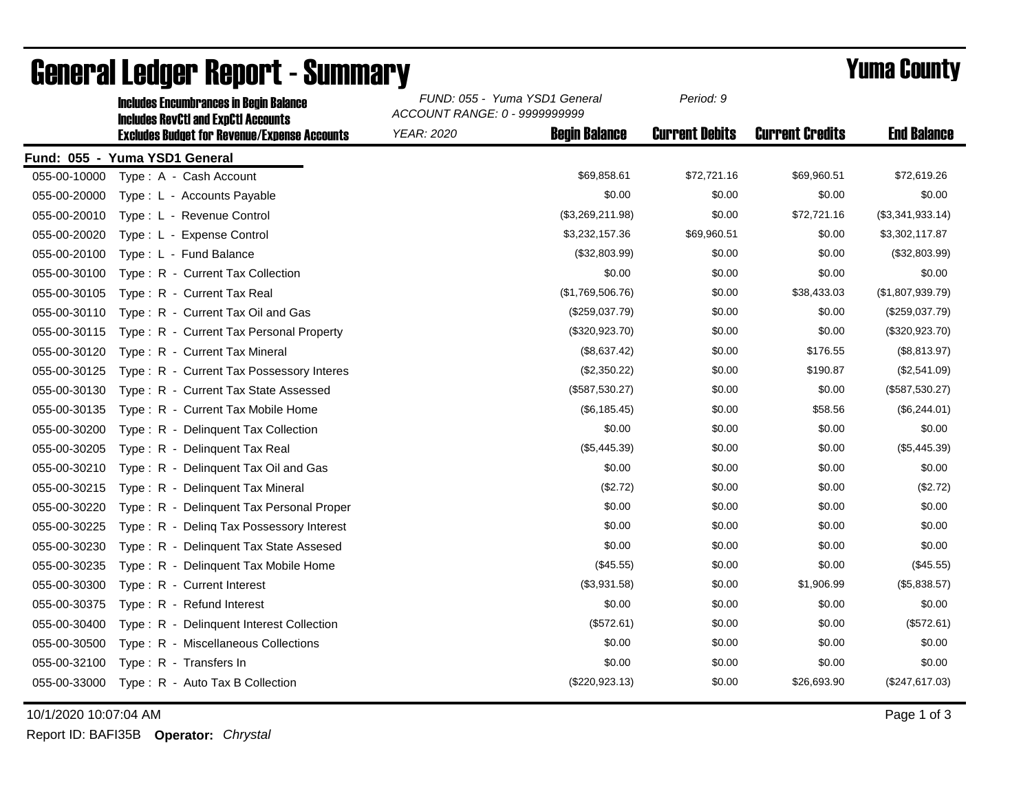|              | <b>Includes RevCtI and ExpCtI Accounts</b>          | ACCOUNT RANGE: 0 - 9999999999 |                      |                       |                        |                    |
|--------------|-----------------------------------------------------|-------------------------------|----------------------|-----------------------|------------------------|--------------------|
|              | <b>Excludes Budget for Revenue/Expense Accounts</b> | <b>YEAR: 2020</b>             | <b>Begin Balance</b> | <b>Current Debits</b> | <b>Current Credits</b> | <b>End Balance</b> |
|              | Fund: 055 - Yuma YSD1 General                       |                               |                      |                       |                        |                    |
| 055-00-10000 | Type: A - Cash Account                              |                               | \$69,858.61          | \$72,721.16           | \$69,960.51            | \$72,619.26        |
| 055-00-20000 | Type: L - Accounts Payable                          |                               | \$0.00               | \$0.00                | \$0.00                 | \$0.00             |
| 055-00-20010 | Type: L - Revenue Control                           |                               | (\$3,269,211.98)     | \$0.00                | \$72,721.16            | (\$3,341,933.14)   |
| 055-00-20020 | Type: L - Expense Control                           |                               | \$3,232,157.36       | \$69,960.51           | \$0.00                 | \$3,302,117.87     |
| 055-00-20100 | Type: L - Fund Balance                              |                               | (\$32,803.99)        | \$0.00                | \$0.00                 | (\$32,803.99)      |
| 055-00-30100 | Type: R - Current Tax Collection                    |                               | \$0.00               | \$0.00                | \$0.00                 | \$0.00             |
| 055-00-30105 | Type: R - Current Tax Real                          |                               | (\$1,769,506.76)     | \$0.00                | \$38,433.03            | (\$1,807,939.79)   |
| 055-00-30110 | Type: R - Current Tax Oil and Gas                   |                               | (\$259,037.79)       | \$0.00                | \$0.00                 | (\$259,037.79)     |
| 055-00-30115 | Type: R - Current Tax Personal Property             |                               | (\$320,923.70)       | \$0.00                | \$0.00                 | (\$320,923.70)     |
| 055-00-30120 | Type: R - Current Tax Mineral                       |                               | (\$8,637.42)         | \$0.00                | \$176.55               | (\$8,813.97)       |
| 055-00-30125 | Type: R - Current Tax Possessory Interes            |                               | (\$2,350.22)         | \$0.00                | \$190.87               | (\$2,541.09)       |
| 055-00-30130 | Type: R - Current Tax State Assessed                |                               | (\$587,530.27)       | \$0.00                | \$0.00                 | (\$587,530.27)     |
| 055-00-30135 | Type: R - Current Tax Mobile Home                   |                               | (\$6,185.45)         | \$0.00                | \$58.56                | (\$6,244.01)       |
| 055-00-30200 | Type: R - Delinquent Tax Collection                 |                               | \$0.00               | \$0.00                | \$0.00                 | \$0.00             |
| 055-00-30205 | Type: R - Delinguent Tax Real                       |                               | (\$5,445.39)         | \$0.00                | \$0.00                 | (\$5,445.39)       |
| 055-00-30210 | Type: R - Delinquent Tax Oil and Gas                |                               | \$0.00               | \$0.00                | \$0.00                 | \$0.00             |
| 055-00-30215 | Type: R - Delinquent Tax Mineral                    |                               | (\$2.72)             | \$0.00                | \$0.00                 | (\$2.72)           |
| 055-00-30220 | Type: R - Delinquent Tax Personal Proper            |                               | \$0.00               | \$0.00                | \$0.00                 | \$0.00             |
| 055-00-30225 | Type: R - Deling Tax Possessory Interest            |                               | \$0.00               | \$0.00                | \$0.00                 | \$0.00             |
| 055-00-30230 | Type: R - Delinquent Tax State Assesed              |                               | \$0.00               | \$0.00                | \$0.00                 | \$0.00             |
| 055-00-30235 | Type: R - Delinguent Tax Mobile Home                |                               | (\$45.55)            | \$0.00                | \$0.00                 | (\$45.55)          |
| 055-00-30300 | Type: R - Current Interest                          |                               | (\$3,931.58)         | \$0.00                | \$1,906.99             | (\$5,838.57)       |
| 055-00-30375 | Type: R - Refund Interest                           |                               | \$0.00               | \$0.00                | \$0.00                 | \$0.00             |
| 055-00-30400 | Type: R - Delinquent Interest Collection            |                               | (\$572.61)           | \$0.00                | \$0.00                 | (\$572.61)         |
| 055-00-30500 | Type: R - Miscellaneous Collections                 |                               | \$0.00               | \$0.00                | \$0.00                 | \$0.00             |
| 055-00-32100 | Type: R - Transfers In                              |                               | \$0.00               | \$0.00                | \$0.00                 | \$0.00             |
| 055-00-33000 | Type: R - Auto Tax B Collection                     |                               | (\$220,923.13)       | \$0.00                | \$26,693.90            | (\$247,617.03)     |

## General Ledger Report - Summary **Example 2018** Yuma County

Includes Encumbrances in Begin Balance *FUND: 055 - Yuma YSD1 General*

10/1/2020 10:07:04 AM Page 1 of 3

Report ID: BAFI35B **Operator:** *Chrystal*

*Period: 9*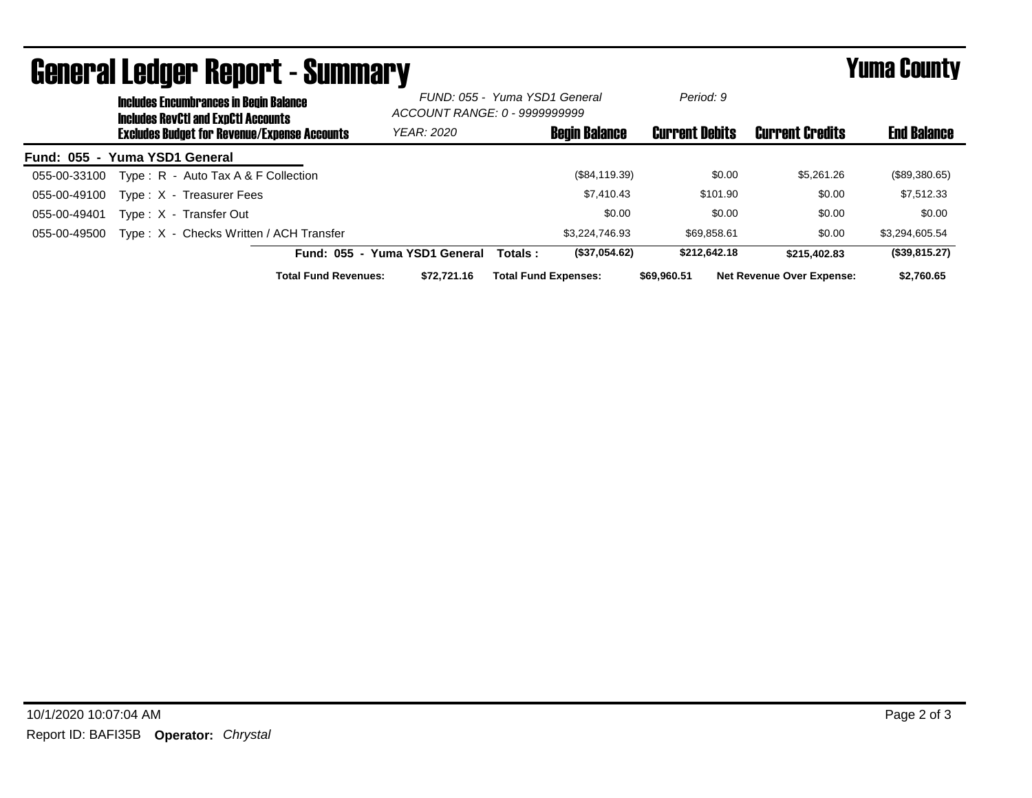|                               |                                                                                             | ugligi ai lguygi ngpul l - duniniai y               |                             |                                                                |                             |                      |                       |              |                                  | I UIIIU VUUILY     |
|-------------------------------|---------------------------------------------------------------------------------------------|-----------------------------------------------------|-----------------------------|----------------------------------------------------------------|-----------------------------|----------------------|-----------------------|--------------|----------------------------------|--------------------|
|                               | <b>Includes Encumbrances in Begin Balance</b><br><b>Includes RevCtI and ExpCtI Accounts</b> |                                                     |                             | FUND: 055 - Yuma YSD1 General<br>ACCOUNT RANGE: 0 - 9999999999 |                             | Period: 9            |                       |              |                                  |                    |
|                               |                                                                                             | <b>Excludes Budget for Revenue/Expense Accounts</b> |                             | YEAR: 2020                                                     |                             | <b>Begin Balance</b> | <b>Current Debits</b> |              | <b>Current Credits</b>           | <b>End Balance</b> |
| Fund: 055 - Yuma YSD1 General |                                                                                             |                                                     |                             |                                                                |                             |                      |                       |              |                                  |                    |
| 055-00-33100                  |                                                                                             | Type: $R -$ Auto Tax A & F Collection               |                             |                                                                |                             | (\$84,119.39)        |                       | \$0.00       | \$5,261.26                       | (\$89,380.65)      |
| 055-00-49100                  |                                                                                             | Type: X - Treasurer Fees                            |                             |                                                                |                             | \$7.410.43           |                       | \$101.90     | \$0.00                           | \$7,512.33         |
| 055-00-49401                  |                                                                                             | Type: X - Transfer Out                              |                             |                                                                |                             | \$0.00               |                       | \$0.00       | \$0.00                           | \$0.00             |
| 055-00-49500                  |                                                                                             | Type: X - Checks Written / ACH Transfer             |                             |                                                                |                             | \$3,224,746.93       |                       | \$69,858.61  | \$0.00                           | \$3,294,605.54     |
|                               |                                                                                             |                                                     |                             | Fund: 055 - Yuma YSD1 General                                  | Totals:                     | (\$37,054.62)        |                       | \$212.642.18 | \$215,402.83                     | (\$39,815.27)      |
|                               |                                                                                             |                                                     | <b>Total Fund Revenues:</b> | \$72.721.16                                                    | <b>Total Fund Expenses:</b> |                      | \$69,960,51           |              | <b>Net Revenue Over Expense:</b> | \$2,760.65         |

## General Ledger Report - Summary Yuma County